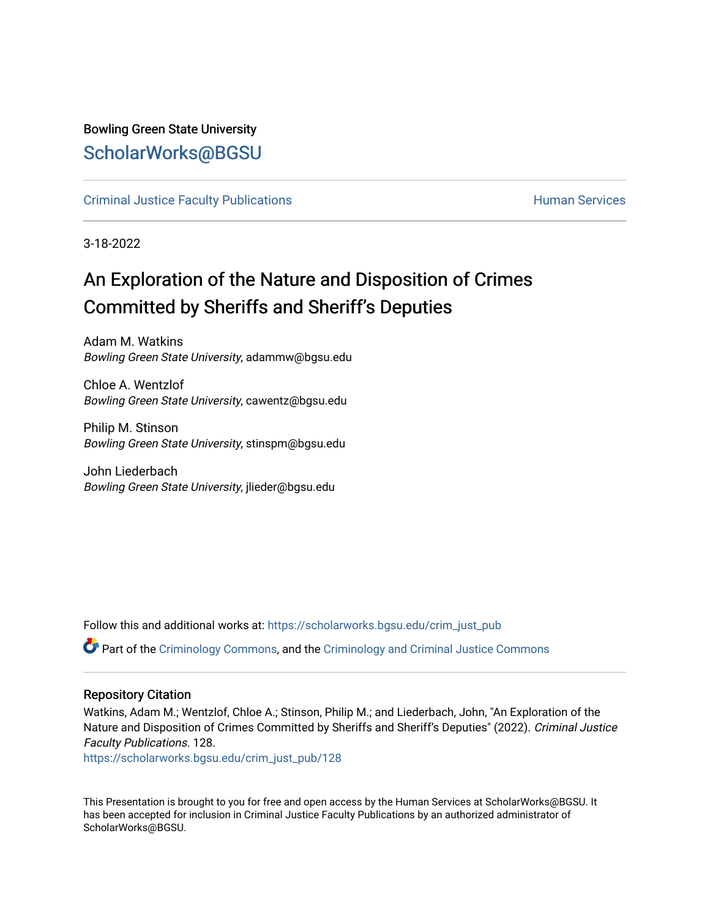## Bowling Green State University [ScholarWorks@BGSU](https://scholarworks.bgsu.edu/)

## [Criminal Justice Faculty Publications](https://scholarworks.bgsu.edu/crim_just_pub) **Exercise Services** Human Services

3-18-2022

## An Exploration of the Nature and Disposition of Crimes Committed by Sheriffs and Sheriff's Deputies

Adam M. Watkins Bowling Green State University, adammw@bgsu.edu

Chloe A. Wentzlof Bowling Green State University, cawentz@bgsu.edu

Philip M. Stinson Bowling Green State University, stinspm@bgsu.edu

John Liederbach Bowling Green State University, jlieder@bgsu.edu

Follow this and additional works at: [https://scholarworks.bgsu.edu/crim\\_just\\_pub](https://scholarworks.bgsu.edu/crim_just_pub?utm_source=scholarworks.bgsu.edu%2Fcrim_just_pub%2F128&utm_medium=PDF&utm_campaign=PDFCoverPages) 

Part of the [Criminology Commons](http://network.bepress.com/hgg/discipline/417?utm_source=scholarworks.bgsu.edu%2Fcrim_just_pub%2F128&utm_medium=PDF&utm_campaign=PDFCoverPages), and the [Criminology and Criminal Justice Commons](http://network.bepress.com/hgg/discipline/367?utm_source=scholarworks.bgsu.edu%2Fcrim_just_pub%2F128&utm_medium=PDF&utm_campaign=PDFCoverPages)

## Repository Citation

Watkins, Adam M.; Wentzlof, Chloe A.; Stinson, Philip M.; and Liederbach, John, "An Exploration of the Nature and Disposition of Crimes Committed by Sheriffs and Sheriff's Deputies" (2022). Criminal Justice Faculty Publications. 128.

[https://scholarworks.bgsu.edu/crim\\_just\\_pub/128](https://scholarworks.bgsu.edu/crim_just_pub/128?utm_source=scholarworks.bgsu.edu%2Fcrim_just_pub%2F128&utm_medium=PDF&utm_campaign=PDFCoverPages) 

This Presentation is brought to you for free and open access by the Human Services at ScholarWorks@BGSU. It has been accepted for inclusion in Criminal Justice Faculty Publications by an authorized administrator of ScholarWorks@BGSU.